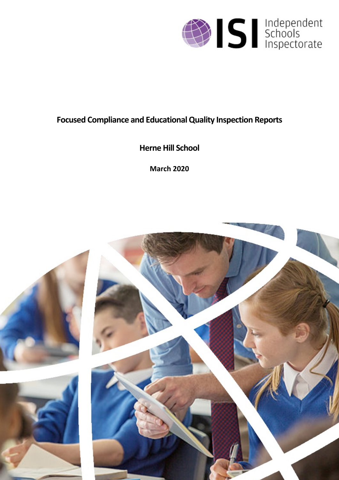

# **Focused Compliance and EducationalQuality Inspection Reports**

# **Herne Hill School**

**March 2020**

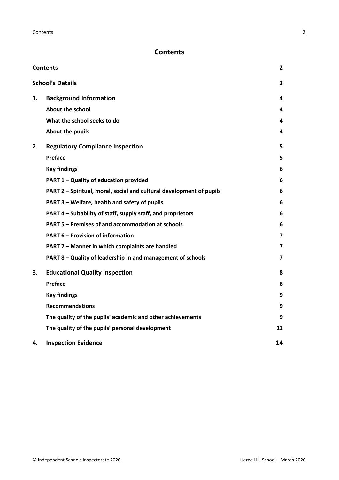## <span id="page-1-0"></span>**Contents**

| <b>Contents</b> |                                                                      | $\mathbf{2}$            |
|-----------------|----------------------------------------------------------------------|-------------------------|
|                 | <b>School's Details</b>                                              | 3                       |
| 1.              | <b>Background Information</b>                                        | 4                       |
|                 | <b>About the school</b>                                              | 4                       |
|                 | What the school seeks to do                                          | 4                       |
|                 | About the pupils                                                     | 4                       |
| 2.              | <b>Regulatory Compliance Inspection</b>                              | 5                       |
|                 | Preface                                                              | 5                       |
|                 | <b>Key findings</b>                                                  | 6                       |
|                 | PART 1 - Quality of education provided                               | 6                       |
|                 | PART 2 - Spiritual, moral, social and cultural development of pupils | 6                       |
|                 | PART 3 - Welfare, health and safety of pupils                        | 6                       |
|                 | PART 4 – Suitability of staff, supply staff, and proprietors         | 6                       |
|                 | PART 5 - Premises of and accommodation at schools                    | 6                       |
|                 | <b>PART 6 - Provision of information</b>                             | $\overline{\mathbf{z}}$ |
|                 | PART 7 - Manner in which complaints are handled                      | $\overline{\mathbf{z}}$ |
|                 | PART 8 - Quality of leadership in and management of schools          | 7                       |
| З.              | <b>Educational Quality Inspection</b>                                | 8                       |
|                 | Preface                                                              | 8                       |
|                 | <b>Key findings</b>                                                  | 9                       |
|                 | <b>Recommendations</b>                                               | 9                       |
|                 | The quality of the pupils' academic and other achievements           | 9                       |
|                 | The quality of the pupils' personal development                      | 11                      |
| 4.              | <b>Inspection Evidence</b>                                           | 14                      |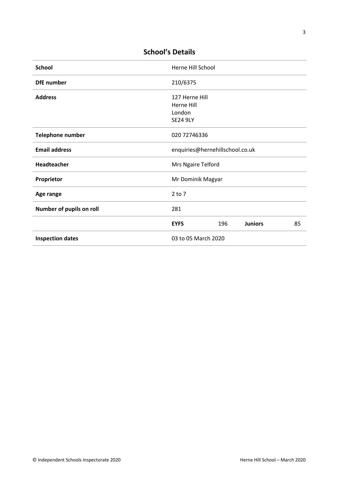| <b>School</b>            | Herne Hill School                                         |  |  |
|--------------------------|-----------------------------------------------------------|--|--|
| <b>DfE</b> number        | 210/6375                                                  |  |  |
| <b>Address</b>           | 127 Herne Hill<br>Herne Hill<br>London<br><b>SE24 9LY</b> |  |  |
| <b>Telephone number</b>  | 020 72746336                                              |  |  |
| <b>Email address</b>     | enquiries@hernehillschool.co.uk                           |  |  |
| Headteacher              | Mrs Ngaire Telford                                        |  |  |
| Proprietor               | Mr Dominik Magyar                                         |  |  |
| Age range                | $2$ to $7$                                                |  |  |
| Number of pupils on roll | 281                                                       |  |  |
|                          | 196<br><b>Juniors</b><br>85<br><b>EYFS</b>                |  |  |
| <b>Inspection dates</b>  | 03 to 05 March 2020                                       |  |  |

## <span id="page-2-0"></span>**School's Details**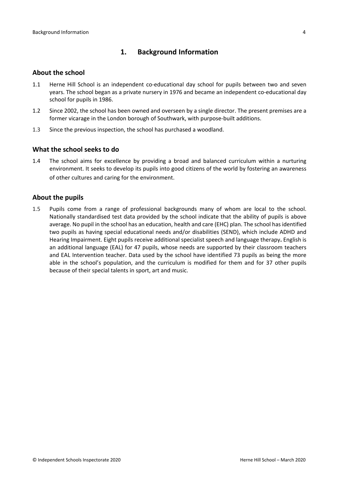## <span id="page-3-0"></span>**1. Background Information**

#### <span id="page-3-1"></span>**About the school**

- 1.1 Herne Hill School is an independent co-educational day school for pupils between two and seven years. The school began as a private nursery in 1976 and became an independent co-educational day school for pupils in 1986.
- 1.2 Since 2002, the school has been owned and overseen by a single director. The present premises are a former vicarage in the London borough of Southwark, with purpose-built additions.
- 1.3 Since the previous inspection, the school has purchased a woodland.

#### <span id="page-3-2"></span>**What the school seeks to do**

1.4 The school aims for excellence by providing a broad and balanced curriculum within a nurturing environment. It seeks to develop its pupils into good citizens of the world by fostering an awareness of other cultures and caring for the environment.

#### <span id="page-3-3"></span>**About the pupils**

1.5 Pupils come from a range of professional backgrounds many of whom are local to the school. Nationally standardised test data provided by the school indicate that the ability of pupils is above average. No pupil in the school has an education, health and care (EHC) plan. The school has identified two pupils as having special educational needs and/or disabilities (SEND), which include ADHD and Hearing Impairment. Eight pupils receive additional specialist speech and language therapy**.** English is an additional language (EAL) for 47 pupils, whose needs are supported by their classroom teachers and EAL Intervention teacher. Data used by the school have identified 73 pupils as being the more able in the school's population, and the curriculum is modified for them and for 37 other pupils because of their special talents in sport, art and music.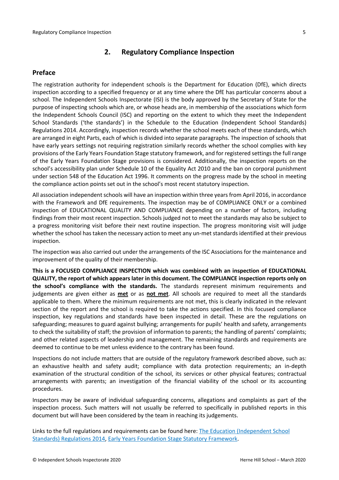## <span id="page-4-0"></span>**2. Regulatory Compliance Inspection**

#### <span id="page-4-1"></span>**Preface**

The registration authority for independent schools is the Department for Education (DfE), which directs inspection according to a specified frequency or at any time where the DfE has particular concerns about a school. The Independent Schools Inspectorate (ISI) is the body approved by the Secretary of State for the purpose of inspecting schools which are, or whose heads are, in membership of the associations which form the Independent Schools Council (ISC) and reporting on the extent to which they meet the Independent School Standards ('the standards') in the Schedule to the Education (Independent School Standards) Regulations 2014. Accordingly, inspection records whether the school meets each of these standards, which are arranged in eight Parts, each of which is divided into separate paragraphs. The inspection of schools that have early years settings not requiring registration similarly records whether the school complies with key provisions of the Early Years Foundation Stage statutory framework, and for registered settings the full range of the Early Years Foundation Stage provisions is considered. Additionally, the inspection reports on the school's accessibility plan under Schedule 10 of the Equality Act 2010 and the ban on corporal punishment under section 548 of the Education Act 1996. It comments on the progress made by the school in meeting the compliance action points set out in the school's most recent statutory inspection.

All association independent schools will have an inspection within three yearsfrom April 2016, in accordance with the Framework and DfE requirements. The inspection may be of COMPLIANCE ONLY or a combined inspection of EDUCATIONAL QUALITY AND COMPLIANCE depending on a number of factors, including findings from their most recent inspection. Schools judged not to meet the standards may also be subject to a progress monitoring visit before their next routine inspection. The progress monitoring visit will judge whether the school has taken the necessary action to meet any un-met standards identified at their previous inspection.

The inspection was also carried out under the arrangements of the ISC Associations for the maintenance and improvement of the quality of their membership.

**This is a FOCUSED COMPLIANCE INSPECTION which was combined with an inspection of EDUCATIONAL QUALITY, the report of which appears later in this document. The COMPLIANCE inspection reports only on the school's compliance with the standards.** The standards represent minimum requirements and judgements are given either as **met** or as **not met**. All schools are required to meet all the standards applicable to them. Where the minimum requirements are not met, this is clearly indicated in the relevant section of the report and the school is required to take the actions specified. In this focused compliance inspection, key regulations and standards have been inspected in detail. These are the regulations on safeguarding; measures to guard against bullying; arrangements for pupils' health and safety, arrangements to check the suitability of staff; the provision of information to parents; the handling of parents' complaints; and other related aspects of leadership and management. The remaining standards and requirements are deemed to continue to be met unless evidence to the contrary has been found.

Inspections do not include matters that are outside of the regulatory framework described above, such as: an exhaustive health and safety audit; compliance with data protection requirements; an in-depth examination of the structural condition of the school, its services or other physical features; contractual arrangements with parents; an investigation of the financial viability of the school or its accounting procedures.

Inspectors may be aware of individual safeguarding concerns, allegations and complaints as part of the inspection process. Such matters will not usually be referred to specifically in published reports in this document but will have been considered by the team in reaching its judgements.

Links to the full regulations and requirements can be found here: The Education [\(Independent](http://www.legislation.gov.uk/uksi/2014/3283/contents/made) School Standards) [Regulations](http://www.legislation.gov.uk/uksi/2014/3283/contents/made) 2014, Early Years [Foundation](https://www.gov.uk/government/publications/early-years-foundation-stage-framework--2) Stage Statutory Framework.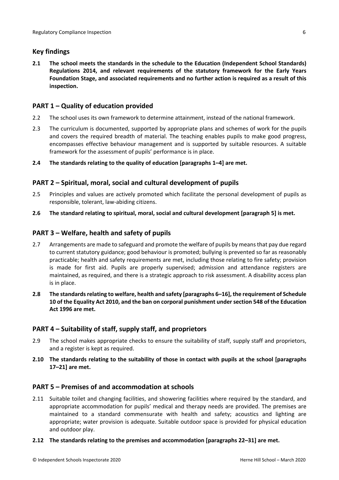## <span id="page-5-0"></span>**Key findings**

**2.1 The school meets the standards in the schedule to the Education (Independent School Standards) Regulations 2014, and relevant requirements of the statutory framework for the Early Years Foundation Stage, and associated requirements and no further action is required as a result of this inspection.**

## <span id="page-5-1"></span>**PART 1 – Quality of education provided**

- 2.2 The school uses its own framework to determine attainment, instead of the national framework.
- 2.3 The curriculum is documented, supported by appropriate plans and schemes of work for the pupils and covers the required breadth of material. The teaching enables pupils to make good progress, encompasses effective behaviour management and is supported by suitable resources. A suitable framework for the assessment of pupils' performance is in place.
- **2.4 The standards relating to the quality of education [paragraphs 1–4] are met.**

#### <span id="page-5-2"></span>**PART 2 – Spiritual, moral, social and cultural development of pupils**

- 2.5 Principles and values are actively promoted which facilitate the personal development of pupils as responsible, tolerant, law-abiding citizens.
- **2.6 The standard relating to spiritual, moral, social and cultural development [paragraph 5] is met.**

## <span id="page-5-3"></span>**PART 3 – Welfare, health and safety of pupils**

- 2.7 Arrangements are made to safeguard and promote the welfare of pupils by means that pay due regard to current statutory guidance; good behaviour is promoted; bullying is prevented so far as reasonably practicable; health and safety requirements are met, including those relating to fire safety; provision is made for first aid. Pupils are properly supervised; admission and attendance registers are maintained, as required, and there is a strategic approach to risk assessment. A disability access plan is in place.
- **2.8 The standardsrelating to welfare, health and safety [paragraphs 6–16], the requirement of Schedule 10 of the Equality Act 2010, and the ban on corporal punishment undersection 548 of the Education Act 1996 are met.**

#### <span id="page-5-4"></span>**PART 4 – Suitability of staff, supply staff, and proprietors**

- 2.9 The school makes appropriate checks to ensure the suitability of staff, supply staff and proprietors, and a register is kept as required.
- **2.10 The standards relating to the suitability of those in contact with pupils at the school [paragraphs 17–21] are met.**

#### <span id="page-5-5"></span>**PART 5 – Premises of and accommodation at schools**

- 2.11 Suitable toilet and changing facilities, and showering facilities where required by the standard, and appropriate accommodation for pupils' medical and therapy needs are provided. The premises are maintained to a standard commensurate with health and safety; acoustics and lighting are appropriate; water provision is adequate. Suitable outdoor space is provided for physical education and outdoor play.
- **2.12 The standards relating to the premises and accommodation [paragraphs 22–31] are met.**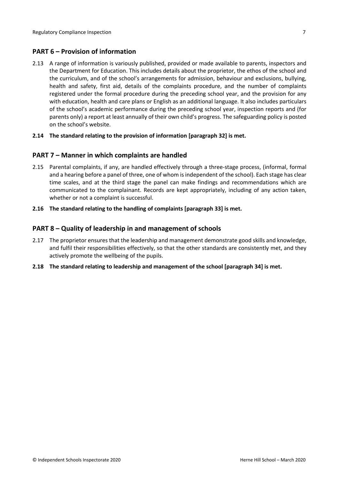## <span id="page-6-0"></span>**PART 6 – Provision of information**

2.13 A range of information is variously published, provided or made available to parents, inspectors and the Department for Education. This includes details about the proprietor, the ethos of the school and the curriculum, and of the school's arrangements for admission, behaviour and exclusions, bullying, health and safety, first aid, details of the complaints procedure, and the number of complaints registered under the formal procedure during the preceding school year, and the provision for any with education, health and care plans or English as an additional language. It also includes particulars of the school's academic performance during the preceding school year, inspection reports and (for parents only) a report at least annually of their own child's progress. The safeguarding policy is posted on the school's website.

#### **2.14 The standard relating to the provision of information [paragraph 32] is met.**

#### <span id="page-6-1"></span>**PART 7 – Manner in which complaints are handled**

- 2.15 Parental complaints, if any, are handled effectively through a three-stage process, (informal, formal and a hearing before a panel of three, one of whom isindependent of the school). Each stage has clear time scales, and at the third stage the panel can make findings and recommendations which are communicated to the complainant. Records are kept appropriately, including of any action taken, whether or not a complaint is successful.
- **2.16 The standard relating to the handling of complaints [paragraph 33] is met.**

#### <span id="page-6-2"></span>**PART 8 – Quality of leadership in and management of schools**

- 2.17 The proprietor ensures that the leadership and management demonstrate good skills and knowledge, and fulfil their responsibilities effectively, so that the other standards are consistently met, and they actively promote the wellbeing of the pupils.
- **2.18 The standard relating to leadership and management of the school [paragraph 34] is met.**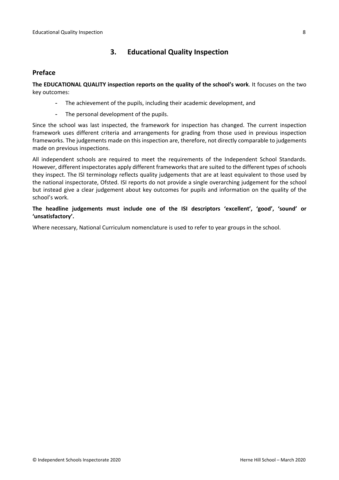## <span id="page-7-0"></span>**3. Educational Quality Inspection**

#### <span id="page-7-1"></span>**Preface**

**The EDUCATIONAL QUALITY inspection reports on the quality of the school's work**. It focuses on the two key outcomes:

- The achievement of the pupils, including their academic development, and
- The personal development of the pupils.

Since the school was last inspected, the framework for inspection has changed. The current inspection framework uses different criteria and arrangements for grading from those used in previous inspection frameworks. The judgements made on this inspection are, therefore, not directly comparable to judgements made on previous inspections.

All independent schools are required to meet the requirements of the Independent School Standards. However, different inspectorates apply different frameworks that are suited to the different types of schools they inspect. The ISI terminology reflects quality judgements that are at least equivalent to those used by the national inspectorate, Ofsted. ISI reports do not provide a single overarching judgement for the school but instead give a clear judgement about key outcomes for pupils and information on the quality of the school's work.

**The headline judgements must include one of the ISI descriptors 'excellent', 'good', 'sound' or 'unsatisfactory'.**

Where necessary, National Curriculum nomenclature is used to refer to year groups in the school.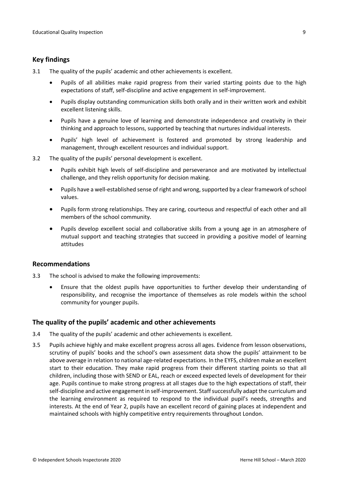#### <span id="page-8-0"></span>**Key findings**

- 3.1 The quality of the pupils' academic and other achievements is excellent.
	- Pupils of all abilities make rapid progress from their varied starting points due to the high expectations of staff, self-discipline and active engagement in self-improvement.
	- Pupils display outstanding communication skills both orally and in their written work and exhibit excellent listening skills.
	- Pupils have a genuine love of learning and demonstrate independence and creativity in their thinking and approach to lessons, supported by teaching that nurtures individual interests.
	- Pupils' high level of achievement is fostered and promoted by strong leadership and management, through excellent resources and individual support.
- 3.2 The quality of the pupils' personal development is excellent.
	- Pupils exhibit high levels of self-discipline and perseverance and are motivated by intellectual challenge, and they relish opportunity for decision making.
	- Pupils have a well-established sense of right and wrong, supported by a clear framework of school values.
	- Pupils form strong relationships. They are caring, courteous and respectful of each other and all members of the school community.
	- Pupils develop excellent social and collaborative skills from a young age in an atmosphere of mutual support and teaching strategies that succeed in providing a positive model of learning attitudes

#### <span id="page-8-1"></span>**Recommendations**

- 3.3 The school is advised to make the following improvements:
	- Ensure that the oldest pupils have opportunities to further develop their understanding of responsibility, and recognise the importance of themselves as role models within the school community for younger pupils.

#### <span id="page-8-2"></span>**The quality of the pupils' academic and other achievements**

- 3.4 The quality of the pupils' academic and other achievements is excellent.
- 3.5 Pupils achieve highly and make excellent progress across all ages. Evidence from lesson observations, scrutiny of pupils' books and the school's own assessment data show the pupils' attainment to be above average in relation to national age-related expectations. In the EYFS, children make an excellent start to their education. They make rapid progress from their different starting points so that all children, including those with SEND or EAL, reach or exceed expected levels of development for their age. Pupils continue to make strong progress at all stages due to the high expectations of staff, their self-discipline and active engagement in self-improvement. Staff successfully adapt the curriculum and the learning environment as required to respond to the individual pupil's needs, strengths and interests. At the end of Year 2, pupils have an excellent record of gaining places at independent and maintained schools with highly competitive entry requirements throughout London.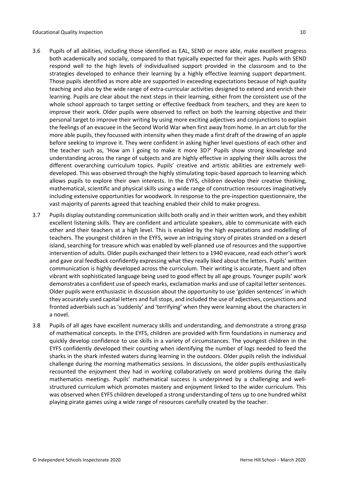- 3.6 Pupils of all abilities, including those identified as EAL, SEND or more able, make excellent progress both academically and socially, compared to that typically expected for their ages. Pupils with SEND respond well to the high levels of individualised support provided in the classroom and to the strategies developed to enhance their learning by a highly effective learning support department. Those pupils identified as more able are supported in exceeding expectations because of high quality teaching and also by the wide range of extra-curricular activities designed to extend and enrich their learning. Pupils are clear about the next steps in their learning, either from the consistent use of the whole school approach to target setting or effective feedback from teachers, and they are keen to improve their work. Older pupils were observed to reflect on both the learning objective and their personal target to improve their writing by using more exciting adjectives and conjunctions to explain the feelings of an evacuee in the Second World War when first away from home. In an art club for the more able pupils, they focussed with intensity when they made a first draft of the drawing of an apple before seeking to improve it. They were confident in asking higher level questions of each other and the teacher such as, 'How am I going to make it more 3D?' Pupils show strong knowledge and understanding across the range of subjects and are highly effective in applying their skills across the different overarching curriculum topics. Pupils' creative and artistic abilities are extremely welldeveloped. This was observed through the highly stimulating topic-based approach to learning which allows pupils to explore their own interests. In the EYFS, children develop their creative thinking, mathematical, scientific and physical skills using a wide range of construction resources imaginatively including extensive opportunities for woodwork. In response to the pre-inspection questionnaire, the vast majority of parents agreed that teaching enabled their child to make progress.
- 3.7 Pupils display outstanding communication skills both orally and in their written work, and they exhibit excellent listening skills. They are confident and articulate speakers, able to communicate with each other and their teachers at a high level. This is enabled by the high expectations and modelling of teachers. The youngest children in the EYFS, wove an intriguing story of pirates stranded on a desert island, searching for treasure which was enabled by well-planned use of resources and the supportive intervention of adults. Older pupils exchanged their letters to a 1940 evacuee, read each other's work and gave oral feedback confidently expressing what they really liked about the letters. Pupils' written communication is highly developed across the curriculum. Their writing is accurate, fluent and often vibrant with sophisticated language being used to good effect by all age groups. Younger pupils' work demonstrates a confident use of speech marks, exclamation marks and use of capital letter sentences. Older pupils were enthusiastic in discussion about the opportunity to use 'golden sentences' in which they accurately used capital letters and fullstops, and included the use of adjectives, conjunctions and fronted adverbials such as 'suddenly' and 'terrifying' when they were learning about the characters in a novel.
- 3.8 Pupils of all ages have excellent numeracy skills and understanding, and demonstrate a strong grasp of mathematical concepts. In the EYFS, children are provided with firm foundations in numeracy and quickly develop confidence to use skills in a variety of circumstances. The youngest children in the EYFS confidently developed their counting when identifying the number of logs needed to feed the sharks in the shark infested waters during learning in the outdoors. Older pupils relish the individual challenge during the morning mathematics sessions. In discussions, the older pupils enthusiastically recounted the enjoyment they had in working collaboratively on word problems during the daily mathematics meetings. Pupils' mathematical success is underpinned by a challenging and wellstructured curriculum which promotes mastery and enjoyment linked to the wider curriculum. This was observed when EYFS children developed a strong understanding of tens up to one hundred whilst playing pirate games using a wide range of resources carefully created by the teacher.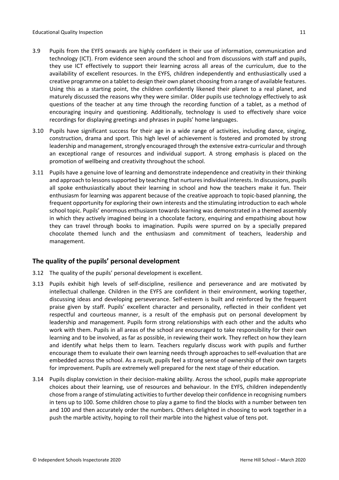- 3.9 Pupils from the EYFS onwards are highly confident in their use of information, communication and technology (ICT). From evidence seen around the school and from discussions with staff and pupils, they use ICT effectively to support their learning across all areas of the curriculum, due to the availability of excellent resources. In the EYFS, children independently and enthusiastically used a creative programme on a tablet to design their own planet choosing from a range of available features. Using this as a starting point, the children confidently likened their planet to a real planet, and maturely discussed the reasons why they were similar. Older pupils use technology effectively to ask questions of the teacher at any time through the recording function of a tablet, as a method of encouraging inquiry and questioning. Additionally, technology is used to effectively share voice recordings for displaying greetings and phrases in pupils' home languages.
- 3.10 Pupils have significant success for their age in a wide range of activities, including dance, singing, construction, drama and sport. This high level of achievement is fostered and promoted by strong leadership and management, strongly encouraged through the extensive extra-curricular and through an exceptional range of resources and individual support. A strong emphasis is placed on the promotion of wellbeing and creativity throughout the school.
- 3.11 Pupils have a genuine love of learning and demonstrate independence and creativity in their thinking and approach to lessonssupported by teaching that nurturesindividual interests. In discussions, pupils all spoke enthusiastically about their learning in school and how the teachers make it fun. Their enthusiasm for learning was apparent because of the creative approach to topic-based planning, the frequent opportunity for exploring their own interests and the stimulating introduction to each whole school topic. Pupils' enormous enthusiasm towards learning was demonstrated in a themed assembly in which they actively imagined being in a chocolate factory, enquiring and empathising about how they can travel through books to imagination. Pupils were spurred on by a specially prepared chocolate themed lunch and the enthusiasm and commitment of teachers, leadership and management.

## <span id="page-10-0"></span>**The quality of the pupils' personal development**

- 3.12 The quality of the pupils' personal development is excellent.
- 3.13 Pupils exhibit high levels of self-discipline, resilience and perseverance and are motivated by intellectual challenge. Children in the EYFS are confident in their environment, working together, discussing ideas and developing perseverance. Self-esteem is built and reinforced by the frequent praise given by staff. Pupils' excellent character and personality, reflected in their confident yet respectful and courteous manner, is a result of the emphasis put on personal development by leadership and management. Pupils form strong relationships with each other and the adults who work with them. Pupils in all areas of the school are encouraged to take responsibility for their own learning and to be involved, as far as possible, in reviewing their work. They reflect on how they learn and identify what helps them to learn. Teachers regularly discuss work with pupils and further encourage them to evaluate their own learning needs through approaches to self-evaluation that are embedded across the school. As a result, pupils feel a strong sense of ownership of their own targets for improvement. Pupils are extremely well prepared for the next stage of their education.
- 3.14 Pupils display conviction in their decision-making ability. Across the school, pupils make appropriate choices about their learning, use of resources and behaviour. In the EYFS, children independently chose from a range of stimulating activities to further develop their confidence in recognising numbers in tens up to 100. Some children chose to play a game to find the blocks with a number between ten and 100 and then accurately order the numbers. Others delighted in choosing to work together in a push the marble activity, hoping to roll their marble into the highest value of tens pot.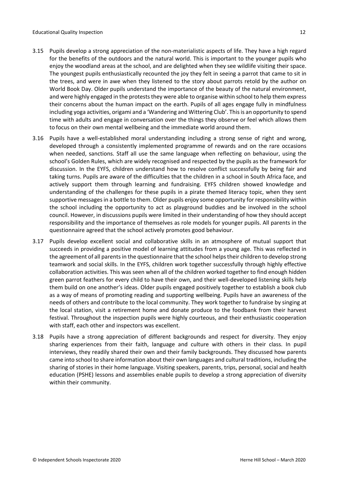- 3.15 Pupils develop a strong appreciation of the non-materialistic aspects of life. They have a high regard for the benefits of the outdoors and the natural world. This is important to the younger pupils who enjoy the woodland areas at the school, and are delighted when they see wildlife visiting their space. The youngest pupils enthusiastically recounted the joy they felt in seeing a parrot that came to sit in the trees, and were in awe when they listened to the story about parrots retold by the author on World Book Day. Older pupils understand the importance of the beauty of the natural environment, and were highly engaged in the protests they were able to organise within school to help them express their concerns about the human impact on the earth. Pupils of all ages engage fully in mindfulness including yoga activities, origami and a 'Wandering and Wittering Club'. Thisis an opportunity to spend time with adults and engage in conversation over the things they observe or feel which allows them to focus on their own mental wellbeing and the immediate world around them.
- 3.16 Pupils have a well-established moral understanding including a strong sense of right and wrong, developed through a consistently implemented programme of rewards and on the rare occasions when needed, sanctions. Staff all use the same language when reflecting on behaviour, using the school's Golden Rules, which are widely recognised and respected by the pupils as the framework for discussion. In the EYFS, children understand how to resolve conflict successfully by being fair and taking turns. Pupils are aware of the difficulties that the children in a school in South Africa face, and actively support them through learning and fundraising. EYFS children showed knowledge and understanding of the challenges for these pupils in a pirate themed literacy topic, when they sent supportive messagesin a bottle to them. Older pupils enjoy some opportunity for responsibility within the school including the opportunity to act as playground buddies and be involved in the school council. However, in discussions pupils were limited in their understanding of how they should accept responsibility and the importance of themselves as role models for younger pupils. All parents in the questionnaire agreed that the school actively promotes good behaviour.
- 3.17 Pupils develop excellent social and collaborative skills in an atmosphere of mutual support that succeeds in providing a positive model of learning attitudes from a young age. This was reflected in the agreement of all parents in the questionnaire that the school helps their children to develop strong teamwork and social skills. In the EYFS, children work together successfully through highly effective collaboration activities. This was seen when all of the children worked together to find enough hidden green parrot feathers for every child to have their own, and their well-developed listening skills help them build on one another's ideas. Older pupils engaged positively together to establish a book club as a way of means of promoting reading and supporting wellbeing. Pupils have an awareness of the needs of others and contribute to the local community. They work together to fundraise by singing at the local station, visit a retirement home and donate produce to the foodbank from their harvest festival. Throughout the inspection pupils were highly courteous, and their enthusiastic cooperation with staff, each other and inspectors was excellent.
- 3.18 Pupils have a strong appreciation of different backgrounds and respect for diversity. They enjoy sharing experiences from their faith, language and culture with others in their class. In pupil interviews, they readily shared their own and their family backgrounds. They discussed how parents came into school to share information about their own languages and cultural traditions, including the sharing of stories in their home language. Visiting speakers, parents, trips, personal, social and health education (PSHE) lessons and assemblies enable pupils to develop a strong appreciation of diversity within their community.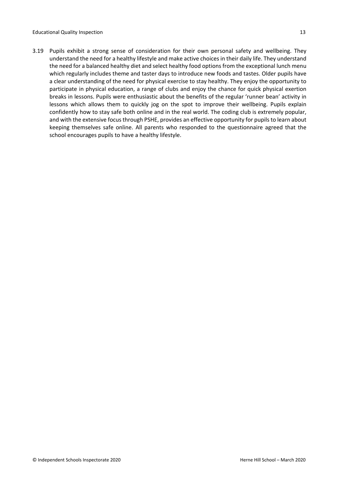3.19 Pupils exhibit a strong sense of consideration for their own personal safety and wellbeing. They understand the need for a healthy lifestyle and make active choices in their daily life. They understand the need for a balanced healthy diet and select healthy food options from the exceptional lunch menu which regularly includes theme and taster days to introduce new foods and tastes. Older pupils have a clear understanding of the need for physical exercise to stay healthy. They enjoy the opportunity to participate in physical education, a range of clubs and enjoy the chance for quick physical exertion breaks in lessons. Pupils were enthusiastic about the benefits of the regular 'runner bean' activity in lessons which allows them to quickly jog on the spot to improve their wellbeing. Pupils explain confidently how to stay safe both online and in the real world. The coding club is extremely popular, and with the extensive focus through PSHE, provides an effective opportunity for pupils to learn about keeping themselves safe online. All parents who responded to the questionnaire agreed that the school encourages pupils to have a healthy lifestyle.